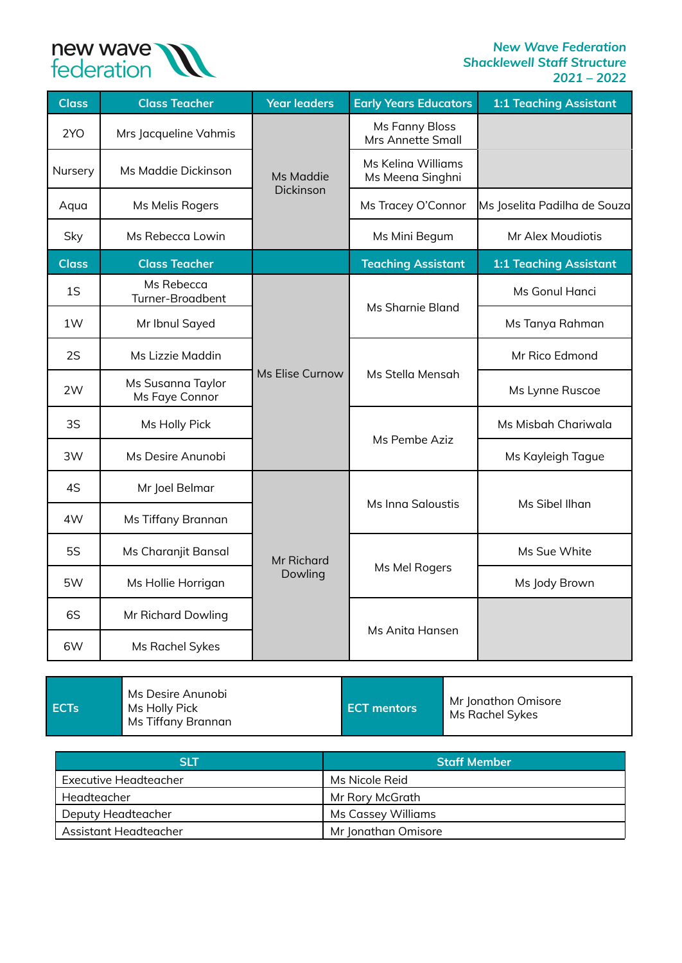

| <b>Class</b> | <b>Class Teacher</b>                | <b>Year leaders</b>          | <b>Early Years Educators</b>               | <b>1:1 Teaching Assistant</b> |
|--------------|-------------------------------------|------------------------------|--------------------------------------------|-------------------------------|
| 2YO          | Mrs Jacqueline Vahmis               | Ms Maddie                    | <b>Ms Fanny Bloss</b><br>Mrs Annette Small |                               |
| Nursery      | Ms Maddie Dickinson                 |                              | Ms Keling Williams<br>Ms Meena Singhni     |                               |
| Aqua         | Ms Melis Rogers                     | Dickinson                    | Ms Tracey O'Connor                         | Ms Joselita Padilha de Souza  |
| Sky          | Ms Rebecca Lowin                    |                              | Ms Mini Begum                              | Mr Alex Moudiotis             |
| <b>Class</b> | <b>Class Teacher</b>                |                              | <b>Teaching Assistant</b>                  | <b>1:1 Teaching Assistant</b> |
| 1S           | Ms Rebecca<br>Turner-Broadbent      | Ms Elise Curnow              | Ms Sharnie Bland                           | Ms Gonul Hanci                |
| 1W           | Mr Ibnul Sayed                      |                              |                                            | Ms Tanya Rahman               |
| 2S           | Ms Lizzie Maddin                    |                              |                                            | Mr Rico Edmond                |
| 2W           | Ms Susanna Taylor<br>Ms Faye Connor |                              | Ms Stella Mensah                           | Ms Lynne Ruscoe               |
| 3S           | Ms Holly Pick                       |                              | Ms Pembe Aziz                              | Ms Misbah Chariwala           |
| 3W           | Ms Desire Anunobi                   |                              |                                            | Ms Kayleigh Tague             |
| 4S           | Mr Joel Belmar                      | <b>Mr Richard</b><br>Dowling |                                            |                               |
| 4W           | Ms Tiffany Brannan                  |                              | <b>Ms Inna Saloustis</b>                   | Ms Sibel Ilhan                |
| <b>5S</b>    | Ms Charanjit Bansal                 |                              |                                            | Ms Sue White                  |
| 5W           | Ms Hollie Horrigan                  |                              | Ms Mel Rogers                              | Ms Jody Brown                 |
| 6S           | Mr Richard Dowling                  |                              |                                            |                               |
| 6W           | Ms Rachel Sykes                     |                              | Ms Anita Hansen                            |                               |

| <b>SIT</b>            | <b>Staff Member</b> |
|-----------------------|---------------------|
| Executive Headteacher | Ms Nicole Reid      |
| Headteacher           | Mr Rory McGrath     |
| Deputy Headteacher    | Ms Cassey Williams  |
| Assistant Headteacher | Mr Jonathan Omisore |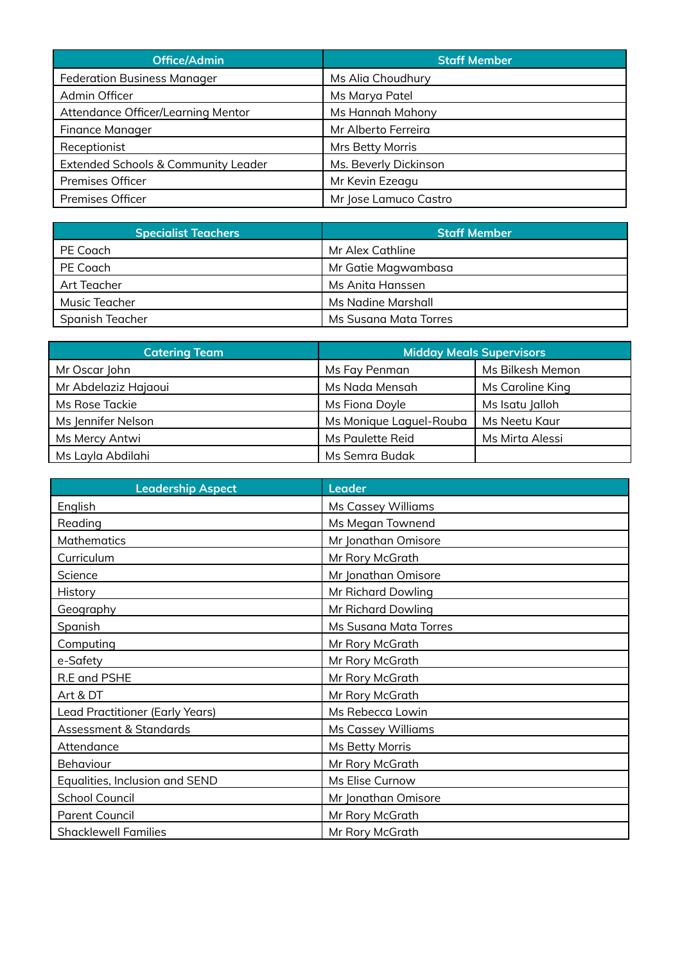| Office/Admin                        | <b>Staff Member</b>   |
|-------------------------------------|-----------------------|
| <b>Federation Business Manager</b>  | Ms Alia Choudhury     |
| Admin Officer                       | Ms Marya Patel        |
| Attendance Officer/Learning Mentor  | Ms Hannah Mahony      |
| Finance Manager                     | Mr Alberto Ferreira   |
| Receptionist                        | Mrs Betty Morris      |
| Extended Schools & Community Leader | Ms. Beverly Dickinson |
| <b>Premises Officer</b>             | Mr Kevin Ezeagu       |
| <b>Premises Officer</b>             | Mr Jose Lamuco Castro |

| <b>Specialist Teachers</b> | <b>Staff Member</b>   |
|----------------------------|-----------------------|
| PE Coach                   | Mr Alex Cathline      |
| PE Coach                   | Mr Gatie Magwambasa   |
| Art Teacher                | Ms Anita Hanssen      |
| Music Teacher              | Ms Nadine Marshall    |
| Spanish Teacher            | Ms Susana Mata Torres |

| <b>Catering Team</b> |                         | <b>Midday Meals Supervisors</b> |
|----------------------|-------------------------|---------------------------------|
| Mr Oscar John        | Ms Fay Penman           | Ms Bilkesh Memon                |
| Mr Abdelaziz Hajaoui | Ms Nada Mensah          | Ms Caroline King                |
| Ms Rose Tackie       | Ms Fiona Doyle          | Ms Isatu Jalloh                 |
| Ms Jennifer Nelson   | Ms Monique Laguel-Rouba | Ms Neetu Kaur                   |
| Ms Mercy Antwi       | Ms Paulette Reid        | Ms Mirta Alessi                 |
| Ms Layla Abdilahi    | Ms Semra Budak          |                                 |

| <b>Leadership Aspect</b>        | <b>Leader</b>                |
|---------------------------------|------------------------------|
| English                         | Ms Cassey Williams           |
| Reading                         | Ms Megan Townend             |
| Mathematics                     | Mr Jonathan Omisore          |
| Curriculum                      | Mr Rory McGrath              |
| Science                         | Mr Jonathan Omisore          |
| History                         | Mr Richard Dowling           |
| Geography                       | Mr Richard Dowling           |
| Spanish                         | <b>Ms Susana Mata Torres</b> |
| Computing                       | Mr Rory McGrath              |
| e-Safety                        | Mr Rory McGrath              |
| R.E and PSHE                    | Mr Rory McGrath              |
| Art & DT                        | Mr Rory McGrath              |
| Lead Practitioner (Early Years) | Ms Rebecca Lowin             |
| Assessment & Standards          | <b>Ms Cassey Williams</b>    |
| Attendance                      | Ms Betty Morris              |
| <b>Behaviour</b>                | Mr Rory McGrath              |
| Equalities, Inclusion and SEND  | Ms Elise Curnow              |
| School Council                  | Mr Jonathan Omisore          |
| <b>Parent Council</b>           | Mr Rory McGrath              |
| <b>Shacklewell Families</b>     | Mr Rory McGrath              |